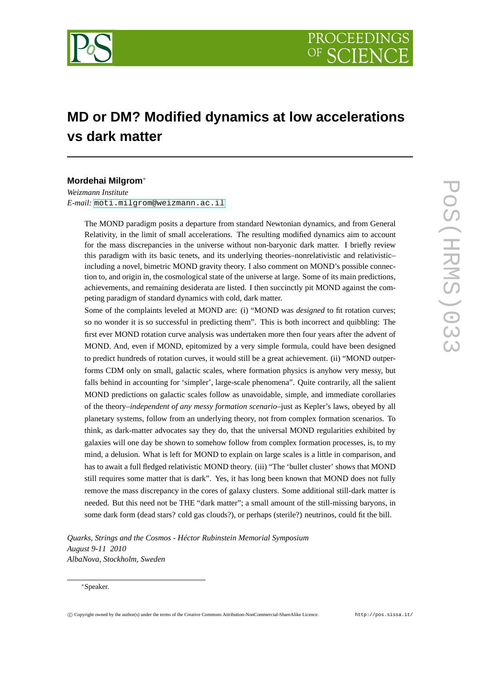

# **MD or DM? Modified dynamics at low accelerations vs dark matter**

# **Mordehai Milgrom**<sup>∗</sup>

*Weizmann Institute E-mail:* [moti.milgrom@weizmann.ac.il](mailto:moti.milgrom@weizmann.ac.il)

> The MOND paradigm posits a departure from standard Newtonian dynamics, and from General Relativity, in the limit of small accelerations. The resulting modified dynamics aim to account for the mass discrepancies in the universe without non-baryonic dark matter. I briefly review this paradigm with its basic tenets, and its underlying theories–nonrelativistic and relativistic– including a novel, bimetric MOND gravity theory. I also comment on MOND's possible connection to, and origin in, the cosmological state of the universe at large. Some of its main predictions, achievements, and remaining desiderata are listed. I then succinctly pit MOND against the competing paradigm of standard dynamics with cold, dark matter.

> Some of the complaints leveled at MOND are: (i) "MOND was *designed* to fit rotation curves; so no wonder it is so successful in predicting them". This is both incorrect and quibbling: The first ever MOND rotation curve analysis was undertaken more then four years after the advent of MOND. And, even if MOND, epitomized by a very simple formula, could have been designed to predict hundreds of rotation curves, it would still be a great achievement. (ii) "MOND outperforms CDM only on small, galactic scales, where formation physics is anyhow very messy, but falls behind in accounting for 'simpler', large-scale phenomena". Quite contrarily, all the salient MOND predictions on galactic scales follow as unavoidable, simple, and immediate corollaries of the theory–*independent of any messy formation scenario*–just as Kepler's laws, obeyed by all planetary systems, follow from an underlying theory, not from complex formation scenarios. To think, as dark-matter advocates say they do, that the universal MOND regularities exhibited by galaxies will one day be shown to somehow follow from complex formation processes, is, to my mind, a delusion. What is left for MOND to explain on large scales is a little in comparison, and has to await a full fledged relativistic MOND theory. (iii) "The 'bullet cluster' shows that MOND still requires some matter that is dark". Yes, it has long been known that MOND does not fully remove the mass discrepancy in the cores of galaxy clusters. Some additional still-dark matter is needed. But this need not be THE "dark matter"; a small amount of the still-missing baryons, in some dark form (dead stars? cold gas clouds?), or perhaps (sterile?) neutrinos, could fit the bill.

*Quarks, Strings and the Cosmos - Héctor Rubinstein Memorial Symposium August 9-11 2010 AlbaNova, Stockholm, Sweden*

## <sup>∗</sup>Speaker.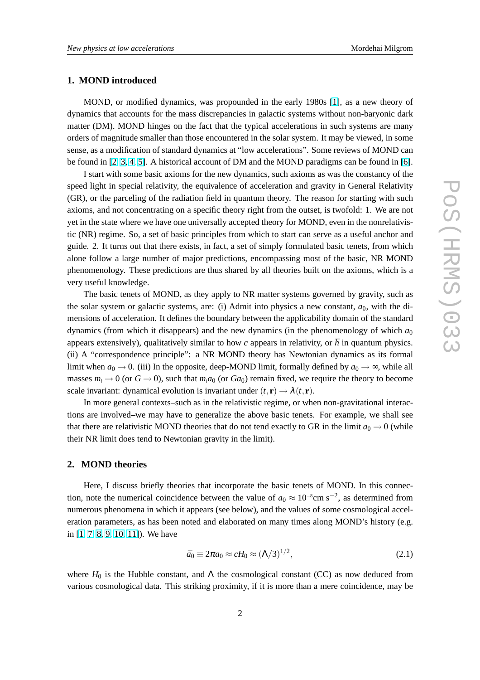#### <span id="page-1-0"></span>**1. MOND introduced**

MOND, or modified dynamics, was propounded in the early 1980s [\[1\]](#page-13-0), as a new theory of dynamics that accounts for the mass discrepancies in galactic systems without non-baryonic dark matter (DM). MOND hinges on the fact that the typical accelerations in such systems are many orders of magnitude smaller than those encountered in the solar system. It may be viewed, in some sense, as a modification of standard dynamics at "low accelerations". Some reviews of MOND can be found in [\[2,](#page-13-0) [3,](#page-13-0) [4,](#page-13-0) [5\]](#page-13-0). A historical account of DM and the MOND paradigms can be found in [\[6\]](#page-13-0).

I start with some basic axioms for the new dynamics, such axioms as was the constancy of the speed light in special relativity, the equivalence of acceleration and gravity in General Relativity (GR), or the parceling of the radiation field in quantum theory. The reason for starting with such axioms, and not concentrating on a specific theory right from the outset, is twofold: 1. We are not yet in the state where we have one universally accepted theory for MOND, even in the nonrelativistic (NR) regime. So, a set of basic principles from which to start can serve as a useful anchor and guide. 2. It turns out that there exists, in fact, a set of simply formulated basic tenets, from which alone follow a large number of major predictions, encompassing most of the basic, NR MOND phenomenology. These predictions are thus shared by all theories built on the axioms, which is a very useful knowledge.

The basic tenets of MOND, as they apply to NR matter systems governed by gravity, such as the solar system or galactic systems, are: (i) Admit into physics a new constant,  $a_0$ , with the dimensions of acceleration. It defines the boundary between the applicability domain of the standard dynamics (from which it disappears) and the new dynamics (in the phenomenology of which  $a_0$ appears extensively), qualitatively similar to how  $c$  appears in relativity, or  $\hbar$  in quantum physics. (ii) A "correspondence principle": a NR MOND theory has Newtonian dynamics as its formal limit when  $a_0 \rightarrow 0$ . (iii) In the opposite, deep-MOND limit, formally defined by  $a_0 \rightarrow \infty$ , while all masses  $m_i \to 0$  (or  $G \to 0$ ), such that  $m_i a_0$  (or  $Ga_0$ ) remain fixed, we require the theory to become scale invariant: dynamical evolution is invariant under  $(t, \mathbf{r}) \rightarrow \lambda(t, \mathbf{r})$ .

In more general contexts–such as in the relativistic regime, or when non-gravitational interactions are involved–we may have to generalize the above basic tenets. For example, we shall see that there are relativistic MOND theories that do not tend exactly to GR in the limit  $a_0 \rightarrow 0$  (while their NR limit does tend to Newtonian gravity in the limit).

## **2. MOND theories**

Here, I discuss briefly theories that incorporate the basic tenets of MOND. In this connection, note the numerical coincidence between the value of  $a_0 \approx 10^{-8}$ cm s<sup>-2</sup>, as determined from numerous phenomena in which it appears (see below), and the values of some cosmological acceleration parameters, as has been noted and elaborated on many times along MOND's history (e.g. in [\[1,](#page-13-0) [7,](#page-13-0) [8,](#page-13-0) [9,](#page-13-0) [10,](#page-14-0) [11\]](#page-14-0)). We have

$$
\bar{a}_0 \equiv 2\pi a_0 \approx cH_0 \approx (\Lambda/3)^{1/2},\tag{2.1}
$$

where  $H_0$  is the Hubble constant, and  $\Lambda$  the cosmological constant (CC) as now deduced from various cosmological data. This striking proximity, if it is more than a mere coincidence, may be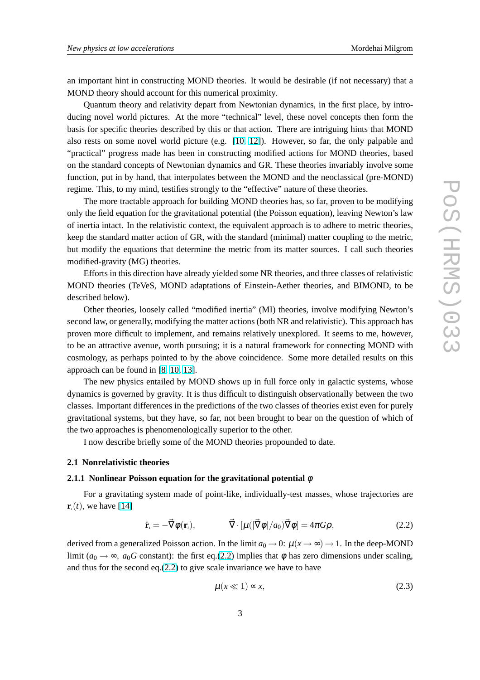an important hint in constructing MOND theories. It would be desirable (if not necessary) that a MOND theory should account for this numerical proximity.

Quantum theory and relativity depart from Newtonian dynamics, in the first place, by introducing novel world pictures. At the more "technical" level, these novel concepts then form the basis for specific theories described by this or that action. There are intriguing hints that MOND also rests on some novel world picture (e.g. [\[10,](#page-14-0) [12\]](#page-14-0)). However, so far, the only palpable and "practical" progress made has been in constructing modified actions for MOND theories, based on the standard concepts of Newtonian dynamics and GR. These theories invariably involve some function, put in by hand, that interpolates between the MOND and the neoclassical (pre-MOND) regime. This, to my mind, testifies strongly to the "effective" nature of these theories.

The more tractable approach for building MOND theories has, so far, proven to be modifying only the field equation for the gravitational potential (the Poisson equation), leaving Newton's law of inertia intact. In the relativistic context, the equivalent approach is to adhere to metric theories, keep the standard matter action of GR, with the standard (minimal) matter coupling to the metric, but modify the equations that determine the metric from its matter sources. I call such theories modified-gravity (MG) theories.

Efforts in this direction have already yielded some NR theories, and three classes of relativistic MOND theories (TeVeS, MOND adaptations of Einstein-Aether theories, and BIMOND, to be described below).

Other theories, loosely called "modified inertia" (MI) theories, involve modifying Newton's second law, or generally, modifying the matter actions (both NR and relativistic). This approach has proven more difficult to implement, and remains relatively unexplored. It seems to me, however, to be an attractive avenue, worth pursuing; it is a natural framework for connecting MOND with cosmology, as perhaps pointed to by the above coincidence. Some more detailed results on this approach can be found in [\[8,](#page-13-0) [10,](#page-14-0) [13\]](#page-14-0).

The new physics entailed by MOND shows up in full force only in galactic systems, whose dynamics is governed by gravity. It is thus difficult to distinguish observationally between the two classes. Important differences in the predictions of the two classes of theories exist even for purely gravitational systems, but they have, so far, not been brought to bear on the question of which of the two approaches is phenomenologically superior to the other.

I now describe briefly some of the MOND theories propounded to date.

#### **2.1 Nonrelativistic theories**

## **2.1.1 Nonlinear Poisson equation for the gravitational potential** φ

For a gravitating system made of point-like, individually-test masses, whose trajectories are  $\mathbf{r}_i(t)$ , we have [\[14\]](#page-14-0)

$$
\ddot{\mathbf{r}}_i = -\vec{\nabla}\phi(\mathbf{r}_i), \qquad \vec{\nabla}\cdot[\mu(|\vec{\nabla}\phi|/a_0)\vec{\nabla}\phi] = 4\pi G\rho, \qquad (2.2)
$$

derived from a generalized Poisson action. In the limit  $a_0 \to 0$ :  $\mu(x \to \infty) \to 1$ . In the deep-MOND limit ( $a_0 \rightarrow \infty$ ,  $a_0$ *G* constant): the first eq.(2.2) implies that  $\phi$  has zero dimensions under scaling, and thus for the second eq.(2.2) to give scale invariance we have to have

$$
\mu(x \ll 1) \approx x,\tag{2.3}
$$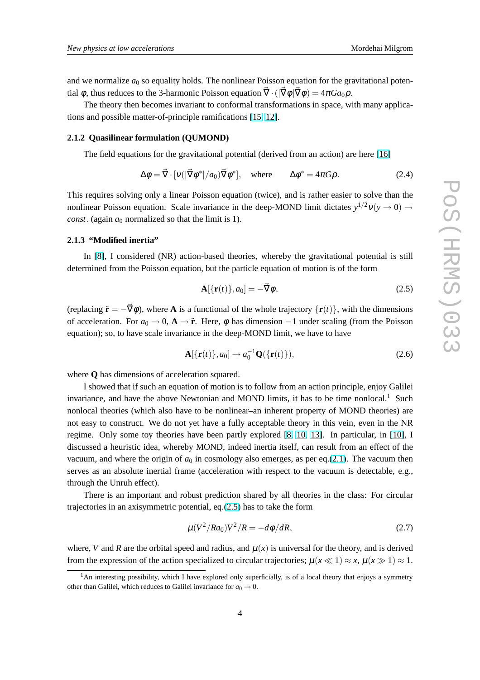<span id="page-3-0"></span>and we normalize  $a_0$  so equality holds. The nonlinear Poisson equation for the gravitational potential  $\phi$ , thus reduces to the 3-harmonic Poisson equation  $\vec{\nabla} \cdot (|\vec{\nabla} \phi| \vec{\nabla} \phi) = 4\pi G a_0 \rho$ .

The theory then becomes invariant to conformal transformations in space, with many applications and possible matter-of-principle ramifications [\[15,](#page-14-0) [12\]](#page-14-0).

#### **2.1.2 Quasilinear formulation (QUMOND)**

The field equations for the gravitational potential (derived from an action) are here [\[16\]](#page-14-0)

$$
\Delta \phi = \vec{\nabla} \cdot [\nu (|\vec{\nabla} \phi^*|/a_0) \vec{\nabla} \phi^*], \quad \text{where} \quad \Delta \phi^* = 4\pi G \rho. \tag{2.4}
$$

This requires solving only a linear Poisson equation (twice), and is rather easier to solve than the nonlinear Poisson equation. Scale invariance in the deep-MOND limit dictates  $y^{1/2}v(y \to 0) \to$ *const*. (again  $a_0$  normalized so that the limit is 1).

## **2.1.3 "Modified inertia"**

In [\[8\]](#page-13-0), I considered (NR) action-based theories, whereby the gravitational potential is still determined from the Poisson equation, but the particle equation of motion is of the form

$$
\mathbf{A}[\{\mathbf{r}(t)\},a_0] = -\vec{\nabla}\phi,\tag{2.5}
$$

(replacing  $\ddot{\mathbf{r}} = -\vec{\nabla}\phi$ ), where **A** is a functional of the whole trajectory  $\{\mathbf{r}(t)\}\,$ , with the dimensions of acceleration. For  $a_0 \to 0$ ,  $\mathbf{A} \to \mathbf{r}$ . Here,  $\phi$  has dimension  $-1$  under scaling (from the Poisson equation); so, to have scale invariance in the deep-MOND limit, we have to have

$$
\mathbf{A}[\{\mathbf{r}(t)\},a_0] \rightarrow a_0^{-1} \mathbf{Q}(\{\mathbf{r}(t)\}),\tag{2.6}
$$

where **Q** has dimensions of acceleration squared.

I showed that if such an equation of motion is to follow from an action principle, enjoy Galilei invariance, and have the above Newtonian and MOND limits, it has to be time nonlocal.<sup>1</sup> Such nonlocal theories (which also have to be nonlinear–an inherent property of MOND theories) are not easy to construct. We do not yet have a fully acceptable theory in this vein, even in the NR regime. Only some toy theories have been partly explored [\[8,](#page-13-0) [10,](#page-14-0) [13\]](#page-14-0). In particular, in [\[10\]](#page-14-0), I discussed a heuristic idea, whereby MOND, indeed inertia itself, can result from an effect of the vacuum, and where the origin of  $a_0$  in cosmology also emerges, as per eq.[\(2.1\)](#page-1-0). The vacuum then serves as an absolute inertial frame (acceleration with respect to the vacuum is detectable, e.g., through the Unruh effect).

There is an important and robust prediction shared by all theories in the class: For circular trajectories in an axisymmetric potential, eq.(2.5) has to take the form

$$
\mu (V^2/Ra_0)V^2/R = -d\phi/dR, \qquad (2.7)
$$

where, *V* and *R* are the orbital speed and radius, and  $\mu(x)$  is universal for the theory, and is derived from the expression of the action specialized to circular trajectories;  $\mu(x \ll 1) \approx x$ ,  $\mu(x \gg 1) \approx 1$ .

 $<sup>1</sup>$ An interesting possibility, which I have explored only superficially, is of a local theory that enjoys a symmetry</sup> other than Galilei, which reduces to Galilei invariance for  $a_0 \rightarrow 0$ .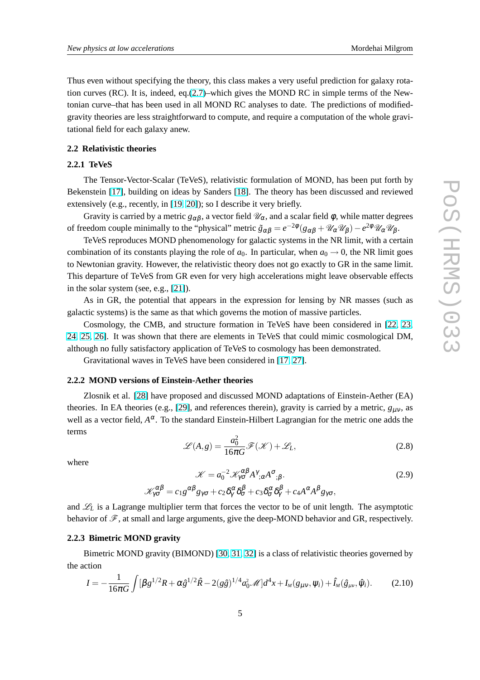Thus even without specifying the theory, this class makes a very useful prediction for galaxy rotation curves (RC). It is, indeed, eq. $(2.7)$ –which gives the MOND RC in simple terms of the Newtonian curve–that has been used in all MOND RC analyses to date. The predictions of modifiedgravity theories are less straightforward to compute, and require a computation of the whole gravitational field for each galaxy anew.

## **2.2 Relativistic theories**

## **2.2.1 TeVeS**

The Tensor-Vector-Scalar (TeVeS), relativistic formulation of MOND, has been put forth by Bekenstein [\[17\]](#page-14-0), building on ideas by Sanders [\[18\]](#page-14-0). The theory has been discussed and reviewed extensively (e.g., recently, in [\[19,](#page-14-0) [20\]](#page-14-0)); so I describe it very briefly.

Gravity is carried by a metric  $g_{\alpha\beta}$ , a vector field  $\mathcal{U}_\alpha$ , and a scalar field  $\phi$ , while matter degrees of freedom couple minimally to the "physical" metric  $\tilde{g}_{\alpha\beta} = e^{-2\phi} (g_{\alpha\beta} + \mathcal{U}_{\alpha} \mathcal{U}_{\beta}) - e^{2\phi} \mathcal{U}_{\alpha} \mathcal{U}_{\beta}$ .

TeVeS reproduces MOND phenomenology for galactic systems in the NR limit, with a certain combination of its constants playing the role of  $a_0$ . In particular, when  $a_0 \rightarrow 0$ , the NR limit goes to Newtonian gravity. However, the relativistic theory does not go exactly to GR in the same limit. This departure of TeVeS from GR even for very high accelerations might leave observable effects in the solar system (see, e.g., [\[21\]](#page-14-0)).

As in GR, the potential that appears in the expression for lensing by NR masses (such as galactic systems) is the same as that which governs the motion of massive particles.

Cosmology, the CMB, and structure formation in TeVeS have been considered in [\[22,](#page-14-0) [23,](#page-14-0) [24,](#page-14-0) [25,](#page-14-0) [26\]](#page-14-0). It was shown that there are elements in TeVeS that could mimic cosmological DM, although no fully satisfactory application of TeVeS to cosmology has been demonstrated.

Gravitational waves in TeVeS have been considered in [\[17,](#page-14-0) [27\]](#page-14-0).

#### **2.2.2 MOND versions of Einstein-Aether theories**

Zlosnik et al. [\[28\]](#page-14-0) have proposed and discussed MOND adaptations of Einstein-Aether (EA) theories. In EA theories (e.g., [\[29\]](#page-14-0), and references therein), gravity is carried by a metric,  $g_{\mu\nu}$ , as well as a vector field,  $A^{\alpha}$ . To the standard Einstein-Hilbert Lagrangian for the metric one adds the terms

$$
\mathcal{L}(A,g) = \frac{a_0^2}{16\pi G} \mathcal{F}(\mathcal{K}) + \mathcal{L}_L,
$$
\n(2.8)

where

$$
\mathcal{K} = a_0^{-2} \mathcal{K}_{\gamma\sigma}^{\alpha\beta} A^{\gamma}_{;\alpha} A^{\sigma}_{;\beta}.
$$
  
\n
$$
\mathcal{K}_{\gamma\sigma}^{\alpha\beta} = c_1 g^{\alpha\beta} g_{\gamma\sigma} + c_2 \delta_{\gamma}^{\alpha} \delta_{\sigma}^{\beta} + c_3 \delta_{\sigma}^{\alpha} \delta_{\gamma}^{\beta} + c_4 A^{\alpha} A^{\beta} g_{\gamma\sigma},
$$
\n(2.9)

and  $\mathcal{L}_L$  is a Lagrange multiplier term that forces the vector to be of unit length. The asymptotic behavior of  $\mathscr{F}$ , at small and large arguments, give the deep-MOND behavior and GR, respectively.

## **2.2.3 Bimetric MOND gravity**

Bimetric MOND gravity (BIMOND) [\[30,](#page-14-0) [31,](#page-14-0) [32\]](#page-14-0) is a class of relativistic theories governed by the action

$$
I = -\frac{1}{16\pi G} \int [\beta g^{1/2} R + \alpha \hat{g}^{1/2} \hat{R} - 2(g\hat{g})^{1/4} a_0^2 \mathcal{M}] d^4 x + I_M(g_{\mu\nu}, \psi_i) + \hat{I}_M(\hat{g}_{\mu\nu}, \hat{\psi}_i).
$$
(2.10)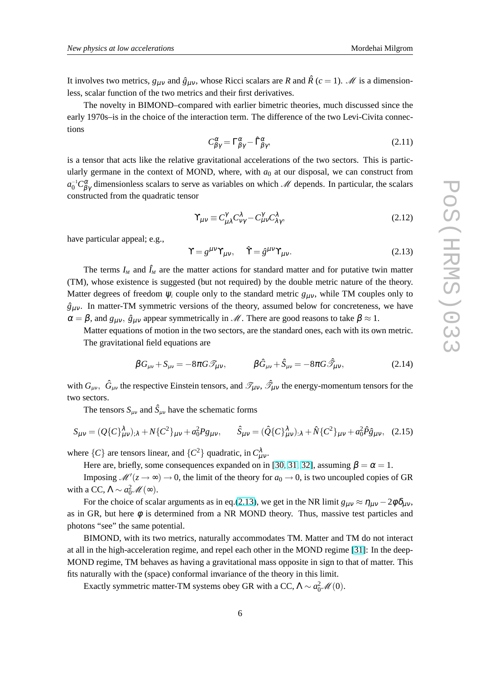<span id="page-5-0"></span>It involves two metrics,  $g_{\mu\nu}$  and  $\hat{g}_{\mu\nu}$ , whose Ricci scalars are *R* and  $\hat{R}$  ( $c = 1$ ). *M* is a dimensionless, scalar function of the two metrics and their first derivatives.

The novelty in BIMOND–compared with earlier bimetric theories, much discussed since the early 1970s–is in the choice of the interaction term. The difference of the two Levi-Civita connections

$$
C^{\alpha}_{\beta\gamma} = \Gamma^{\alpha}_{\beta\gamma} - \hat{\Gamma}^{\alpha}_{\beta\gamma},\tag{2.11}
$$

is a tensor that acts like the relative gravitational accelerations of the two sectors. This is particularly germane in the context of MOND, where, with  $a_0$  at our disposal, we can construct from  $a_0^{-1}C_{\beta\gamma}^{\alpha}$  dimensionless scalars to serve as variables on which M depends. In particular, the scalars constructed from the quadratic tensor

$$
\Upsilon_{\mu\nu} \equiv C_{\mu\lambda}^{\gamma} C_{\nu\gamma}^{\lambda} - C_{\mu\nu}^{\gamma} C_{\lambda\gamma}^{\lambda},\tag{2.12}
$$

have particular appeal; e.g.,

$$
\Upsilon = g^{\mu\nu}\Upsilon_{\mu\nu}, \quad \hat{\Upsilon} = \hat{g}^{\mu\nu}\Upsilon_{\mu\nu}.
$$
 (2.13)

The terms  $I_M$  and  $\hat{I}_M$  are the matter actions for standard matter and for putative twin matter (TM), whose existence is suggested (but not required) by the double metric nature of the theory. Matter degrees of freedom  $\psi_i$  couple only to the standard metric  $g_{\mu\nu}$ , while TM couples only to  $\hat{g}_{\mu\nu}$ . In matter-TM symmetric versions of the theory, assumed below for concreteness, we have  $\alpha = \beta$ , and  $g_{\mu\nu}$ ,  $\hat{g}_{\mu\nu}$  appear symmetrically in M. There are good reasons to take  $\beta \approx 1$ .

Matter equations of motion in the two sectors, are the standard ones, each with its own metric. The gravitational field equations are

$$
\beta G_{\mu\nu} + S_{\mu\nu} = -8\pi G \mathcal{I}_{\mu\nu}, \qquad \beta \hat{G}_{\mu\nu} + \hat{S}_{\mu\nu} = -8\pi G \mathcal{I}_{\mu\nu}, \qquad (2.14)
$$

with  $G_{\mu\nu}$ ,  $\hat{G}_{\mu\nu}$  the respective Einstein tensors, and  $\mathscr{T}_{\mu\nu}$ ,  $\hat{\mathscr{T}}_{\mu\nu}$  the energy-momentum tensors for the two sectors.

The tensors  $S_{\mu\nu}$  and  $\hat{S}_{\mu\nu}$  have the schematic forms

$$
S_{\mu\nu} = (Q\{C\}_{\mu\nu}^{\lambda})_{;\lambda} + N\{C^2\}_{\mu\nu} + a_0^2 P g_{\mu\nu}, \qquad \hat{S}_{\mu\nu} = (\hat{Q}\{C\}_{\mu\nu}^{\lambda})_{;\lambda} + \hat{N}\{C^2\}_{\mu\nu} + a_0^2 \hat{P} \hat{g}_{\mu\nu}, \quad (2.15)
$$

where  $\{C\}$  are tensors linear, and  $\{C^2\}$  quadratic, in  $C_u^{\lambda}$ µν .

Here are, briefly, some consequences expanded on in [\[30,](#page-14-0) [31,](#page-14-0) [32\]](#page-14-0), assuming  $\beta = \alpha = 1$ .

Imposing  $\mathcal{M}'(z \to \infty) \to 0$ , the limit of the theory for  $a_0 \to 0$ , is two uncoupled copies of GR with a CC,  $\Lambda \sim a_0^2 \mathcal{M}(\infty)$ .

For the choice of scalar arguments as in eq.(2.13), we get in the NR limit  $g_{\mu\nu} \approx \eta_{\mu\nu} - 2\phi \delta_{\mu\nu}$ , as in GR, but here  $\phi$  is determined from a NR MOND theory. Thus, massive test particles and photons "see" the same potential.

BIMOND, with its two metrics, naturally accommodates TM. Matter and TM do not interact at all in the high-acceleration regime, and repel each other in the MOND regime [\[31\]](#page-14-0): In the deep-MOND regime, TM behaves as having a gravitational mass opposite in sign to that of matter. This fits naturally with the (space) conformal invariance of the theory in this limit.

Exactly symmetric matter-TM systems obey GR with a CC,  $\Lambda \sim a_0^2 \mathcal{M}(0)$ .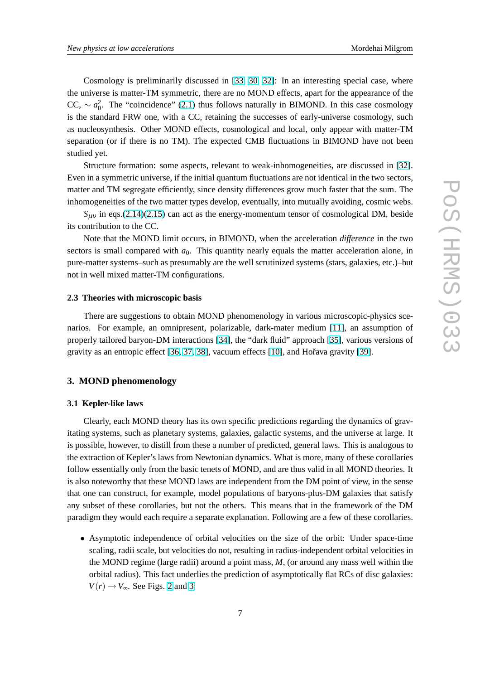<span id="page-6-0"></span>Cosmology is preliminarily discussed in [\[33,](#page-14-0) [30,](#page-14-0) [32\]](#page-14-0): In an interesting special case, where the universe is matter-TM symmetric, there are no MOND effects, apart for the appearance of the CC,  $\sim a_0^2$ . The "coincidence" [\(2.1\)](#page-1-0) thus follows naturally in BIMOND. In this case cosmology is the standard FRW one, with a CC, retaining the successes of early-universe cosmology, such as nucleosynthesis. Other MOND effects, cosmological and local, only appear with matter-TM separation (or if there is no TM). The expected CMB fluctuations in BIMOND have not been studied yet.

Structure formation: some aspects, relevant to weak-inhomogeneities, are discussed in [\[32\]](#page-14-0). Even in a symmetric universe, if the initial quantum fluctuations are not identical in the two sectors, matter and TM segregate efficiently, since density differences grow much faster that the sum. The inhomogeneities of the two matter types develop, eventually, into mutually avoiding, cosmic webs.

 $S_{\mu\nu}$  in eqs.[\(2.14\)\(2.15\)](#page-5-0) can act as the energy-momentum tensor of cosmological DM, beside its contribution to the CC.

Note that the MOND limit occurs, in BIMOND, when the acceleration *difference* in the two sectors is small compared with  $a<sub>0</sub>$ . This quantity nearly equals the matter acceleration alone, in pure-matter systems–such as presumably are the well scrutinized systems (stars, galaxies, etc.)–but not in well mixed matter-TM configurations.

## **2.3 Theories with microscopic basis**

There are suggestions to obtain MOND phenomenology in various microscopic-physics scenarios. For example, an omnipresent, polarizable, dark-mater medium [\[11\]](#page-14-0), an assumption of properly tailored baryon-DM interactions [\[34\]](#page-14-0), the "dark fluid" approach [\[35\]](#page-14-0), various versions of gravity as an entropic effect [\[36,](#page-14-0) [37,](#page-14-0) [38\]](#page-14-0), vacuum effects [\[10\]](#page-14-0), and Hoˇrava gravity [\[39\]](#page-14-0).

#### **3. MOND phenomenology**

#### **3.1 Kepler-like laws**

Clearly, each MOND theory has its own specific predictions regarding the dynamics of gravitating systems, such as planetary systems, galaxies, galactic systems, and the universe at large. It is possible, however, to distill from these a number of predicted, general laws. This is analogous to the extraction of Kepler's laws from Newtonian dynamics. What is more, many of these corollaries follow essentially only from the basic tenets of MOND, and are thus valid in all MOND theories. It is also noteworthy that these MOND laws are independent from the DM point of view, in the sense that one can construct, for example, model populations of baryons-plus-DM galaxies that satisfy any subset of these corollaries, but not the others. This means that in the framework of the DM paradigm they would each require a separate explanation. Following are a few of these corollaries.

• Asymptotic independence of orbital velocities on the size of the orbit: Under space-time scaling, radii scale, but velocities do not, resulting in radius-independent orbital velocities in the MOND regime (large radii) around a point mass, *M*, (or around any mass well within the orbital radius). This fact underlies the prediction of asymptotically flat RCs of disc galaxies:  $V(r) \rightarrow V_{\infty}$ . See Figs. [2](#page-9-0) and [3.](#page-10-0)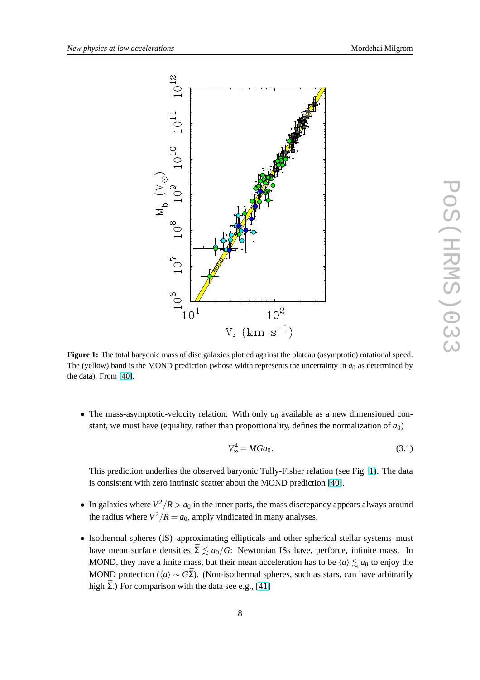<span id="page-7-0"></span>

**Figure 1:** The total baryonic mass of disc galaxies plotted against the plateau (asymptotic) rotational speed. The (yellow) band is the MOND prediction (whose width represents the uncertainty in  $a_0$  as determined by the data). From [\[40\]](#page-14-0).

• The mass-asymptotic-velocity relation: With only  $a_0$  available as a new dimensioned constant, we must have (equality, rather than proportionality, defines the normalization of  $a_0$ )

*V*

$$
V_{\infty}^4 = MGa_0. \tag{3.1}
$$

This prediction underlies the observed baryonic Tully-Fisher relation (see Fig. 1). The data is consistent with zero intrinsic scatter about the MOND prediction [\[40\]](#page-14-0).

- In galaxies where  $V^2/R > a_0$  in the inner parts, the mass discrepancy appears always around the radius where  $V^2/R = a_0$ , amply vindicated in many analyses.
- Isothermal spheres (IS)–approximating ellipticals and other spherical stellar systems–must have mean surface densities  $\bar{\Sigma} \lesssim a_0/G$ : Newtonian ISs have, perforce, infinite mass. In MOND, they have a finite mass, but their mean acceleration has to be  $\langle a \rangle \le a_0$  to enjoy the MOND protection ( $\langle a \rangle \sim G\bar{\Sigma}$ ). (Non-isothermal spheres, such as stars, can have arbitrarily high  $\bar{\Sigma}$ .) For comparison with the data see e.g., [\[41\]](#page-14-0)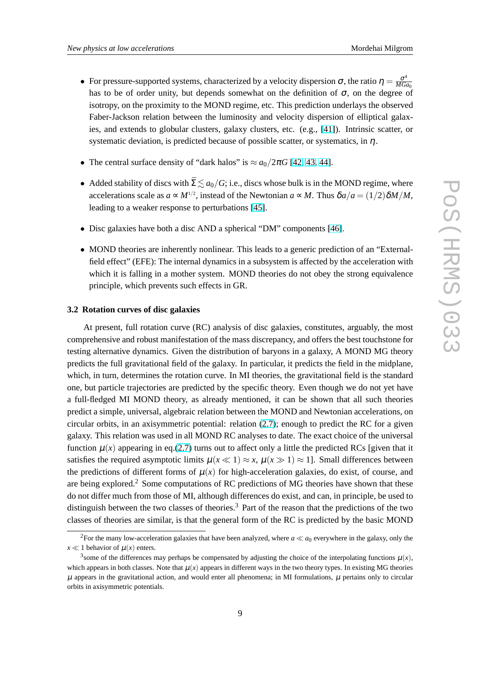- For pressure-supported systems, characterized by a velocity dispersion  $\sigma$ , the ratio  $\eta = \frac{\sigma^4}{MG}$ *MGa*<sup>0</sup> has to be of order unity, but depends somewhat on the definition of  $\sigma$ , on the degree of isotropy, on the proximity to the MOND regime, etc. This prediction underlays the observed Faber-Jackson relation between the luminosity and velocity dispersion of elliptical galaxies, and extends to globular clusters, galaxy clusters, etc. (e.g., [\[41\]](#page-14-0)). Intrinsic scatter, or systematic deviation, is predicted because of possible scatter, or systematics, in  $\eta$ .
- The central surface density of "dark halos" is  $\approx a_0/2\pi G$  [\[42,](#page-15-0) [43,](#page-15-0) [44\]](#page-15-0).
- Added stability of discs with  $\bar{\Sigma} \lesssim a_0/G$ ; i.e., discs whose bulk is in the MOND regime, where accelerations scale as  $a \propto M^{1/2}$ , instead of the Newtonian  $a \propto M$ . Thus  $\delta a/a = (1/2)\delta M/M$ , leading to a weaker response to perturbations [\[45\]](#page-15-0).
- Disc galaxies have both a disc AND a spherical "DM" components [\[46\]](#page-15-0).
- MOND theories are inherently nonlinear. This leads to a generic prediction of an "Externalfield effect" (EFE): The internal dynamics in a subsystem is affected by the acceleration with which it is falling in a mother system. MOND theories do not obey the strong equivalence principle, which prevents such effects in GR.

#### **3.2 Rotation curves of disc galaxies**

At present, full rotation curve (RC) analysis of disc galaxies, constitutes, arguably, the most comprehensive and robust manifestation of the mass discrepancy, and offers the best touchstone for testing alternative dynamics. Given the distribution of baryons in a galaxy, A MOND MG theory predicts the full gravitational field of the galaxy. In particular, it predicts the field in the midplane, which, in turn, determines the rotation curve. In MI theories, the gravitational field is the standard one, but particle trajectories are predicted by the specific theory. Even though we do not yet have a full-fledged MI MOND theory, as already mentioned, it can be shown that all such theories predict a simple, universal, algebraic relation between the MOND and Newtonian accelerations, on circular orbits, in an axisymmetric potential: relation [\(2.7\)](#page-3-0); enough to predict the RC for a given galaxy. This relation was used in all MOND RC analyses to date. The exact choice of the universal function  $\mu(x)$  appearing in eq.[\(2.7\)](#page-3-0) turns out to affect only a little the predicted RCs [given that it satisfies the required asymptotic limits  $\mu(x \ll 1) \approx x$ ,  $\mu(x \gg 1) \approx 1$ . Small differences between the predictions of different forms of  $\mu(x)$  for high-acceleration galaxies, do exist, of course, and are being explored.<sup>2</sup> Some computations of RC predictions of MG theories have shown that these do not differ much from those of MI, although differences do exist, and can, in principle, be used to distinguish between the two classes of theories.<sup>3</sup> Part of the reason that the predictions of the two classes of theories are similar, is that the general form of the RC is predicted by the basic MOND

<sup>&</sup>lt;sup>2</sup>For the many low-acceleration galaxies that have been analyzed, where  $a \ll a_0$  everywhere in the galaxy, only the  $x \ll 1$  behavior of  $\mu(x)$  enters.

<sup>&</sup>lt;sup>3</sup> some of the differences may perhaps be compensated by adjusting the choice of the interpolating functions  $\mu(x)$ , which appears in both classes. Note that  $\mu(x)$  appears in different ways in the two theory types. In existing MG theories  $\mu$  appears in the gravitational action, and would enter all phenomena; in MI formulations,  $\mu$  pertains only to circular orbits in axisymmetric potentials.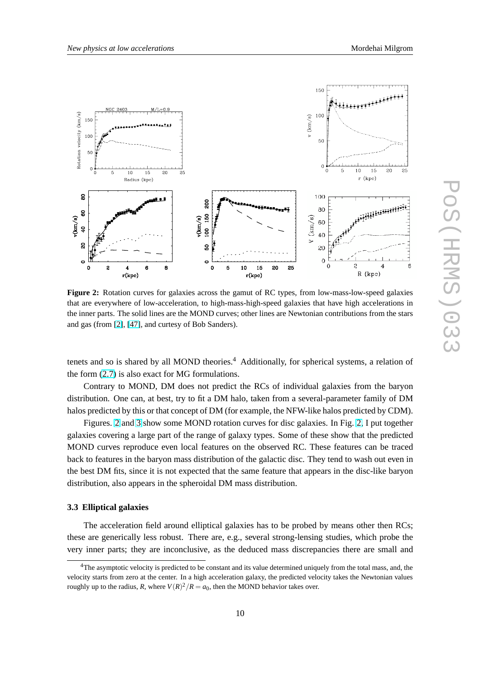<span id="page-9-0"></span>

**Figure 2:** Rotation curves for galaxies across the gamut of RC types, from low-mass-low-speed galaxies that are everywhere of low-acceleration, to high-mass-high-speed galaxies that have high accelerations in the inner parts. The solid lines are the MOND curves; other lines are Newtonian contributions from the stars and gas (from [\[2\]](#page-13-0), [\[47\]](#page-15-0), and curtesy of Bob Sanders).

tenets and so is shared by all MOND theories.<sup>4</sup> Additionally, for spherical systems, a relation of the form [\(2.7\)](#page-3-0) is also exact for MG formulations.

Contrary to MOND, DM does not predict the RCs of individual galaxies from the baryon distribution. One can, at best, try to fit a DM halo, taken from a several-parameter family of DM halos predicted by this or that concept of DM (for example, the NFW-like halos predicted by CDM).

Figures. 2 and [3](#page-10-0) show some MOND rotation curves for disc galaxies. In Fig. 2, I put together galaxies covering a large part of the range of galaxy types. Some of these show that the predicted MOND curves reproduce even local features on the observed RC. These features can be traced back to features in the baryon mass distribution of the galactic disc. They tend to wash out even in the best DM fits, since it is not expected that the same feature that appears in the disc-like baryon distribution, also appears in the spheroidal DM mass distribution.

## **3.3 Elliptical galaxies**

The acceleration field around elliptical galaxies has to be probed by means other then RCs; these are generically less robust. There are, e.g., several strong-lensing studies, which probe the very inner parts; they are inconclusive, as the deduced mass discrepancies there are small and

<sup>4</sup>The asymptotic velocity is predicted to be constant and its value determined uniquely from the total mass, and, the velocity starts from zero at the center. In a high acceleration galaxy, the predicted velocity takes the Newtonian values roughly up to the radius, *R*, where  $V(R)^2/R = a_0$ , then the MOND behavior takes over.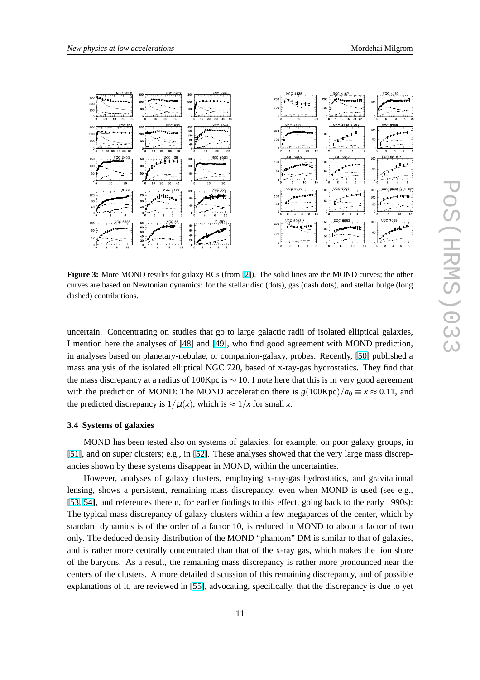<span id="page-10-0"></span>

**Figure 3:** More MOND results for galaxy RCs (from [\[2\]](#page-13-0)). The solid lines are the MOND curves; the other curves are based on Newtonian dynamics: for the stellar disc (dots), gas (dash dots), and stellar bulge (long dashed) contributions.

uncertain. Concentrating on studies that go to large galactic radii of isolated elliptical galaxies, I mention here the analyses of [\[48\]](#page-15-0) and [\[49\]](#page-15-0), who find good agreement with MOND prediction, in analyses based on planetary-nebulae, or companion-galaxy, probes. Recently, [\[50\]](#page-15-0) published a mass analysis of the isolated elliptical NGC 720, based of x-ray-gas hydrostatics. They find that the mass discrepancy at a radius of 100Kpc is  $\sim$  10. I note here that this is in very good agreement with the prediction of MOND: The MOND acceleration there is  $g(100Kpc)/a_0 \equiv x \approx 0.11$ , and the predicted discrepancy is  $1/\mu(x)$ , which is  $\approx 1/x$  for small *x*.

#### **3.4 Systems of galaxies**

MOND has been tested also on systems of galaxies, for example, on poor galaxy groups, in [\[51\]](#page-15-0), and on super clusters; e.g., in [\[52\]](#page-15-0). These analyses showed that the very large mass discrepancies shown by these systems disappear in MOND, within the uncertainties.

However, analyses of galaxy clusters, employing x-ray-gas hydrostatics, and gravitational lensing, shows a persistent, remaining mass discrepancy, even when MOND is used (see e.g., [\[53,](#page-15-0) [54\]](#page-15-0), and references therein, for earlier findings to this effect, going back to the early 1990s): The typical mass discrepancy of galaxy clusters within a few megaparces of the center, which by standard dynamics is of the order of a factor 10, is reduced in MOND to about a factor of two only. The deduced density distribution of the MOND "phantom" DM is similar to that of galaxies, and is rather more centrally concentrated than that of the x-ray gas, which makes the lion share of the baryons. As a result, the remaining mass discrepancy is rather more pronounced near the centers of the clusters. A more detailed discussion of this remaining discrepancy, and of possible explanations of it, are reviewed in [\[55\]](#page-15-0), advocating, specifically, that the discrepancy is due to yet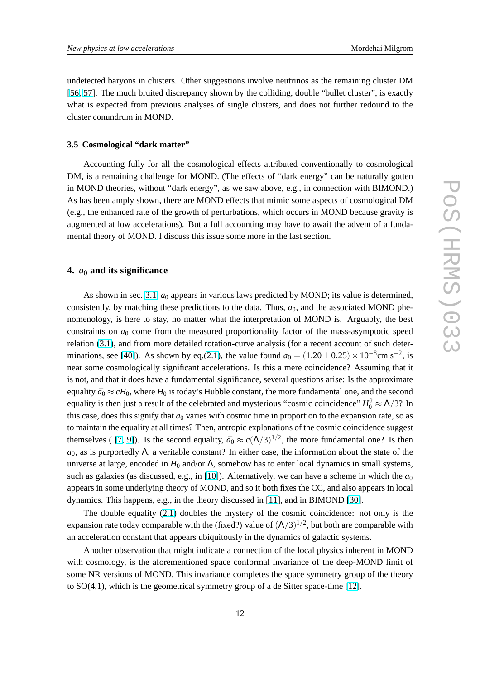undetected baryons in clusters. Other suggestions involve neutrinos as the remaining cluster DM [\[56,](#page-15-0) [57\]](#page-15-0). The much bruited discrepancy shown by the colliding, double "bullet cluster", is exactly what is expected from previous analyses of single clusters, and does not further redound to the cluster conundrum in MOND.

#### **3.5 Cosmological "dark matter"**

Accounting fully for all the cosmological effects attributed conventionally to cosmological DM, is a remaining challenge for MOND. (The effects of "dark energy" can be naturally gotten in MOND theories, without "dark energy", as we saw above, e.g., in connection with BIMOND.) As has been amply shown, there are MOND effects that mimic some aspects of cosmological DM (e.g., the enhanced rate of the growth of perturbations, which occurs in MOND because gravity is augmented at low accelerations). But a full accounting may have to await the advent of a fundamental theory of MOND. I discuss this issue some more in the last section.

# **4.** *a*<sup>0</sup> **and its significance**

As shown in sec. [3.1,](#page-6-0)  $a_0$  appears in various laws predicted by MOND; its value is determined, consistently, by matching these predictions to the data. Thus,  $a<sub>0</sub>$ , and the associated MOND phenomenology, is here to stay, no matter what the interpretation of MOND is. Arguably, the best constraints on  $a_0$  come from the measured proportionality factor of the mass-asymptotic speed relation [\(3.1\)](#page-7-0), and from more detailed rotation-curve analysis (for a recent account of such deter-minations, see [\[40\]](#page-14-0)). As shown by eq.[\(2.1\)](#page-1-0), the value found  $a_0 = (1.20 \pm 0.25) \times 10^{-8}$ cm s<sup>-2</sup>, is near some cosmologically significant accelerations. Is this a mere coincidence? Assuming that it is not, and that it does have a fundamental significance, several questions arise: Is the approximate equality  $\bar{a}_0 \approx cH_0$ , where  $H_0$  is today's Hubble constant, the more fundamental one, and the second equality is then just a result of the celebrated and mysterious "cosmic coincidence"  $H_0^2 \approx \Lambda/3$ ? In this case, does this signify that  $a_0$  varies with cosmic time in proportion to the expansion rate, so as to maintain the equality at all times? Then, antropic explanations of the cosmic coincidence suggest themselves ( [\[7,](#page-13-0) [9\]](#page-13-0)). Is the second equality,  $\bar{a}_0 \approx c(\Lambda/3)^{1/2}$ , the more fundamental one? Is then  $a_0$ , as is purportedly  $\Lambda$ , a veritable constant? In either case, the information about the state of the universe at large, encoded in  $H_0$  and/or  $\Lambda$ , somehow has to enter local dynamics in small systems, such as galaxies (as discussed, e.g., in [\[10\]](#page-14-0)). Alternatively, we can have a scheme in which the  $a_0$ appears in some underlying theory of MOND, and so it both fixes the CC, and also appears in local dynamics. This happens, e.g., in the theory discussed in [\[11\]](#page-14-0), and in BIMOND [\[30\]](#page-14-0).

The double equality [\(2.1\)](#page-1-0) doubles the mystery of the cosmic coincidence: not only is the expansion rate today comparable with the (fixed?) value of  $(\Lambda/3)^{1/2}$ , but both are comparable with an acceleration constant that appears ubiquitously in the dynamics of galactic systems.

Another observation that might indicate a connection of the local physics inherent in MOND with cosmology, is the aforementioned space conformal invariance of the deep-MOND limit of some NR versions of MOND. This invariance completes the space symmetry group of the theory to SO(4,1), which is the geometrical symmetry group of a de Sitter space-time [\[12\]](#page-14-0).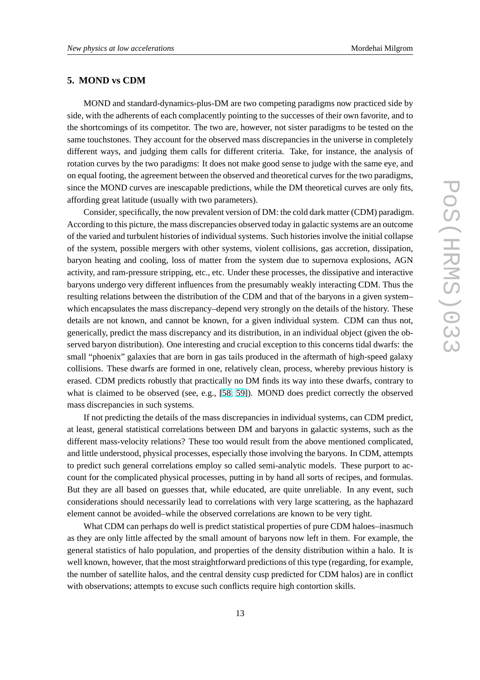## **5. MOND vs CDM**

MOND and standard-dynamics-plus-DM are two competing paradigms now practiced side by side, with the adherents of each complacently pointing to the successes of their own favorite, and to the shortcomings of its competitor. The two are, however, not sister paradigms to be tested on the same touchstones. They account for the observed mass discrepancies in the universe in completely different ways, and judging them calls for different criteria. Take, for instance, the analysis of rotation curves by the two paradigms: It does not make good sense to judge with the same eye, and on equal footing, the agreement between the observed and theoretical curves for the two paradigms, since the MOND curves are inescapable predictions, while the DM theoretical curves are only fits, affording great latitude (usually with two parameters).

Consider, specifically, the now prevalent version of DM: the cold dark matter (CDM) paradigm. According to this picture, the mass discrepancies observed today in galactic systems are an outcome of the varied and turbulent histories of individual systems. Such histories involve the initial collapse of the system, possible mergers with other systems, violent collisions, gas accretion, dissipation, baryon heating and cooling, loss of matter from the system due to supernova explosions, AGN activity, and ram-pressure stripping, etc., etc. Under these processes, the dissipative and interactive baryons undergo very different influences from the presumably weakly interacting CDM. Thus the resulting relations between the distribution of the CDM and that of the baryons in a given system– which encapsulates the mass discrepancy–depend very strongly on the details of the history. These details are not known, and cannot be known, for a given individual system. CDM can thus not, generically, predict the mass discrepancy and its distribution, in an individual object (given the observed baryon distribution). One interesting and crucial exception to this concerns tidal dwarfs: the small "phoenix" galaxies that are born in gas tails produced in the aftermath of high-speed galaxy collisions. These dwarfs are formed in one, relatively clean, process, whereby previous history is erased. CDM predicts robustly that practically no DM finds its way into these dwarfs, contrary to what is claimed to be observed (see, e.g., [\[58,](#page-15-0) [59\]](#page-15-0)). MOND does predict correctly the observed mass discrepancies in such systems.

If not predicting the details of the mass discrepancies in individual systems, can CDM predict, at least, general statistical correlations between DM and baryons in galactic systems, such as the different mass-velocity relations? These too would result from the above mentioned complicated, and little understood, physical processes, especially those involving the baryons. In CDM, attempts to predict such general correlations employ so called semi-analytic models. These purport to account for the complicated physical processes, putting in by hand all sorts of recipes, and formulas. But they are all based on guesses that, while educated, are quite unreliable. In any event, such considerations should necessarily lead to correlations with very large scattering, as the haphazard element cannot be avoided–while the observed correlations are known to be very tight.

What CDM can perhaps do well is predict statistical properties of pure CDM haloes–inasmuch as they are only little affected by the small amount of baryons now left in them. For example, the general statistics of halo population, and properties of the density distribution within a halo. It is well known, however, that the most straightforward predictions of this type (regarding, for example, the number of satellite halos, and the central density cusp predicted for CDM halos) are in conflict with observations; attempts to excuse such conflicts require high contortion skills.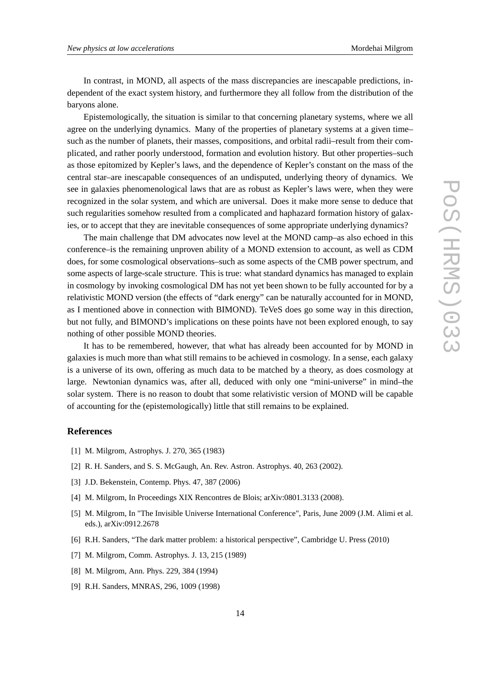<span id="page-13-0"></span>In contrast, in MOND, all aspects of the mass discrepancies are inescapable predictions, independent of the exact system history, and furthermore they all follow from the distribution of the baryons alone.

Epistemologically, the situation is similar to that concerning planetary systems, where we all agree on the underlying dynamics. Many of the properties of planetary systems at a given time– such as the number of planets, their masses, compositions, and orbital radii–result from their complicated, and rather poorly understood, formation and evolution history. But other properties–such as those epitomized by Kepler's laws, and the dependence of Kepler's constant on the mass of the central star–are inescapable consequences of an undisputed, underlying theory of dynamics. We see in galaxies phenomenological laws that are as robust as Kepler's laws were, when they were recognized in the solar system, and which are universal. Does it make more sense to deduce that such regularities somehow resulted from a complicated and haphazard formation history of galaxies, or to accept that they are inevitable consequences of some appropriate underlying dynamics?

The main challenge that DM advocates now level at the MOND camp–as also echoed in this conference–is the remaining unproven ability of a MOND extension to account, as well as CDM does, for some cosmological observations–such as some aspects of the CMB power spectrum, and some aspects of large-scale structure. This is true: what standard dynamics has managed to explain in cosmology by invoking cosmological DM has not yet been shown to be fully accounted for by a relativistic MOND version (the effects of "dark energy" can be naturally accounted for in MOND, as I mentioned above in connection with BIMOND). TeVeS does go some way in this direction, but not fully, and BIMOND's implications on these points have not been explored enough, to say nothing of other possible MOND theories.

It has to be remembered, however, that what has already been accounted for by MOND in galaxies is much more than what still remains to be achieved in cosmology. In a sense, each galaxy is a universe of its own, offering as much data to be matched by a theory, as does cosmology at large. Newtonian dynamics was, after all, deduced with only one "mini-universe" in mind–the solar system. There is no reason to doubt that some relativistic version of MOND will be capable of accounting for the (epistemologically) little that still remains to be explained.

## **References**

- [1] M. Milgrom, Astrophys. J. 270, 365 (1983)
- [2] R. H. Sanders, and S. S. McGaugh, An. Rev. Astron. Astrophys. 40, 263 (2002).
- [3] J.D. Bekenstein, Contemp. Phys. 47, 387 (2006)
- [4] M. Milgrom, In Proceedings XIX Rencontres de Blois; arXiv:0801.3133 (2008).
- [5] M. Milgrom, In "The Invisible Universe International Conference", Paris, June 2009 (J.M. Alimi et al. eds.), arXiv:0912.2678
- [6] R.H. Sanders, "The dark matter problem: a historical perspective", Cambridge U. Press (2010)
- [7] M. Milgrom, Comm. Astrophys. J. 13, 215 (1989)
- [8] M. Milgrom, Ann. Phys. 229, 384 (1994)
- [9] R.H. Sanders, MNRAS, 296, 1009 (1998)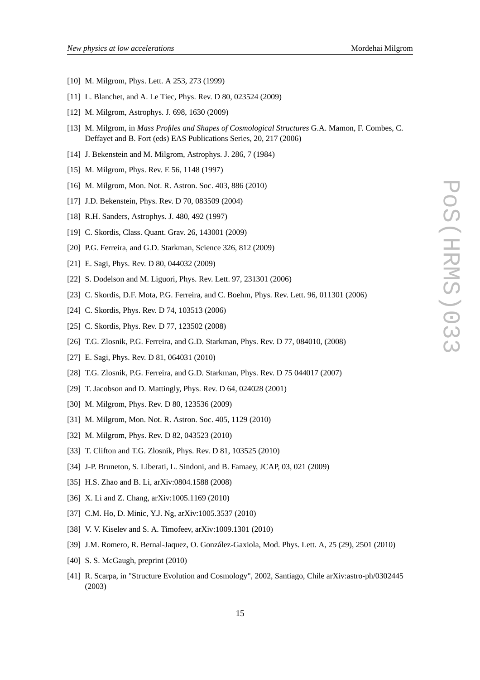- <span id="page-14-0"></span>[10] M. Milgrom, Phys. Lett. A 253, 273 (1999)
- [11] L. Blanchet, and A. Le Tiec, Phys. Rev. D 80, 023524 (2009)
- [12] M. Milgrom, Astrophys. J. 698, 1630 (2009)
- [13] M. Milgrom, in *Mass Profiles and Shapes of Cosmological Structures* G.A. Mamon, F. Combes, C. Deffayet and B. Fort (eds) EAS Publications Series, 20, 217 (2006)
- [14] J. Bekenstein and M. Milgrom, Astrophys. J. 286, 7 (1984)
- [15] M. Milgrom, Phys. Rev. E 56, 1148 (1997)
- [16] M. Milgrom, Mon. Not. R. Astron. Soc. 403, 886 (2010)
- [17] J.D. Bekenstein, Phys. Rev. D 70, 083509 (2004)
- [18] R.H. Sanders, Astrophys. J. 480, 492 (1997)
- [19] C. Skordis, Class. Quant. Grav. 26, 143001 (2009)
- [20] P.G. Ferreira, and G.D. Starkman, Science 326, 812 (2009)
- [21] E. Sagi, Phys. Rev. D 80, 044032 (2009)
- [22] S. Dodelson and M. Liguori, Phys. Rev. Lett. 97, 231301 (2006)
- [23] C. Skordis, D.F. Mota, P.G. Ferreira, and C. Boehm, Phys. Rev. Lett. 96, 011301 (2006)
- [24] C. Skordis, Phys. Rev. D 74, 103513 (2006)
- [25] C. Skordis, Phys. Rev. D 77, 123502 (2008)
- [26] T.G. Zlosnik, P.G. Ferreira, and G.D. Starkman, Phys. Rev. D 77, 084010, (2008)
- [27] E. Sagi, Phys. Rev. D 81, 064031 (2010)
- [28] T.G. Zlosnik, P.G. Ferreira, and G.D. Starkman, Phys. Rev. D 75 044017 (2007)
- [29] T. Jacobson and D. Mattingly, Phys. Rev. D 64, 024028 (2001)
- [30] M. Milgrom, Phys. Rev. D 80, 123536 (2009)
- [31] M. Milgrom, Mon. Not. R. Astron. Soc. 405, 1129 (2010)
- [32] M. Milgrom, Phys. Rev. D 82, 043523 (2010)
- [33] T. Clifton and T.G. Zlosnik, Phys. Rev. D 81, 103525 (2010)
- [34] J-P. Bruneton, S. Liberati, L. Sindoni, and B. Famaey, JCAP, 03, 021 (2009)
- [35] H.S. Zhao and B. Li, arXiv:0804.1588 (2008)
- [36] X. Li and Z. Chang, arXiv:1005.1169 (2010)
- [37] C.M. Ho, D. Minic, Y.J. Ng, arXiv:1005.3537 (2010)
- [38] V. V. Kiselev and S. A. Timofeev, arXiv:1009.1301 (2010)
- [39] J.M. Romero, R. Bernal-Jaquez, O. González-Gaxiola, Mod. Phys. Lett. A, 25 (29), 2501 (2010)
- [40] S. S. McGaugh, preprint (2010)
- [41] R. Scarpa, in "Structure Evolution and Cosmology", 2002, Santiago, Chile arXiv:astro-ph/0302445 (2003)